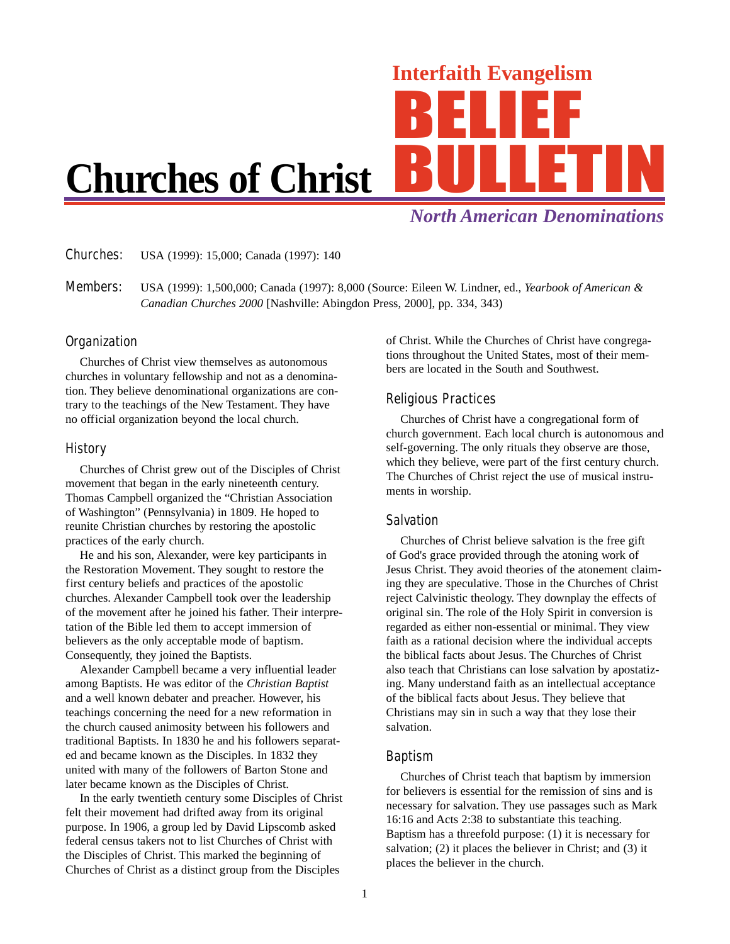# Interfaith Evangelism

# **Churches of Christ**

*North American Denominations*

Churches: USA (1999): 15,000; Canada (1997): 140

Members: USA (1999): 1,500,000; Canada (1997): 8,000 (Source: Eileen W. Lindner, ed., *Yearbook of American & Canadian Churches 2000* [Nashville: Abingdon Press, 2000], pp. 334, 343)

# **Organization**

Churches of Christ view themselves as autonomous churches in voluntary fellowship and not as a denomination. They believe denominational organizations are contrary to the teachings of the New Testament. They have no official organization beyond the local church.

#### History

Churches of Christ grew out of the Disciples of Christ movement that began in the early nineteenth century. Thomas Campbell organized the "Christian Association of Washington" (Pennsylvania) in 1809. He hoped to reunite Christian churches by restoring the apostolic practices of the early church.

He and his son, Alexander, were key participants in the Restoration Movement. They sought to restore the first century beliefs and practices of the apostolic churches. Alexander Campbell took over the leadership of the movement after he joined his father. Their interpretation of the Bible led them to accept immersion of believers as the only acceptable mode of baptism. Consequently, they joined the Baptists.

Alexander Campbell became a very influential leader among Baptists. He was editor of the *Christian Baptist* and a well known debater and preacher. However, his teachings concerning the need for a new reformation in the church caused animosity between his followers and traditional Baptists. In 1830 he and his followers separated and became known as the Disciples. In 1832 they united with many of the followers of Barton Stone and later became known as the Disciples of Christ.

In the early twentieth century some Disciples of Christ felt their movement had drifted away from its original purpose. In 1906, a group led by David Lipscomb asked federal census takers not to list Churches of Christ with the Disciples of Christ. This marked the beginning of Churches of Christ as a distinct group from the Disciples

of Christ. While the Churches of Christ have congregations throughout the United States, most of their members are located in the South and Southwest.

# Religious Practices

Churches of Christ have a congregational form of church government. Each local church is autonomous and self-governing. The only rituals they observe are those, which they believe, were part of the first century church. The Churches of Christ reject the use of musical instruments in worship.

# Salvation

Churches of Christ believe salvation is the free gift of God's grace provided through the atoning work of Jesus Christ. They avoid theories of the atonement claiming they are speculative. Those in the Churches of Christ reject Calvinistic theology. They downplay the effects of original sin. The role of the Holy Spirit in conversion is regarded as either non-essential or minimal. They view faith as a rational decision where the individual accepts the biblical facts about Jesus. The Churches of Christ also teach that Christians can lose salvation by apostatizing. Many understand faith as an intellectual acceptance of the biblical facts about Jesus. They believe that Christians may sin in such a way that they lose their salvation.

# Baptism

Churches of Christ teach that baptism by immersion for believers is essential for the remission of sins and is necessary for salvation. They use passages such as Mark 16:16 and Acts 2:38 to substantiate this teaching. Baptism has a threefold purpose: (1) it is necessary for salvation; (2) it places the believer in Christ; and (3) it places the believer in the church.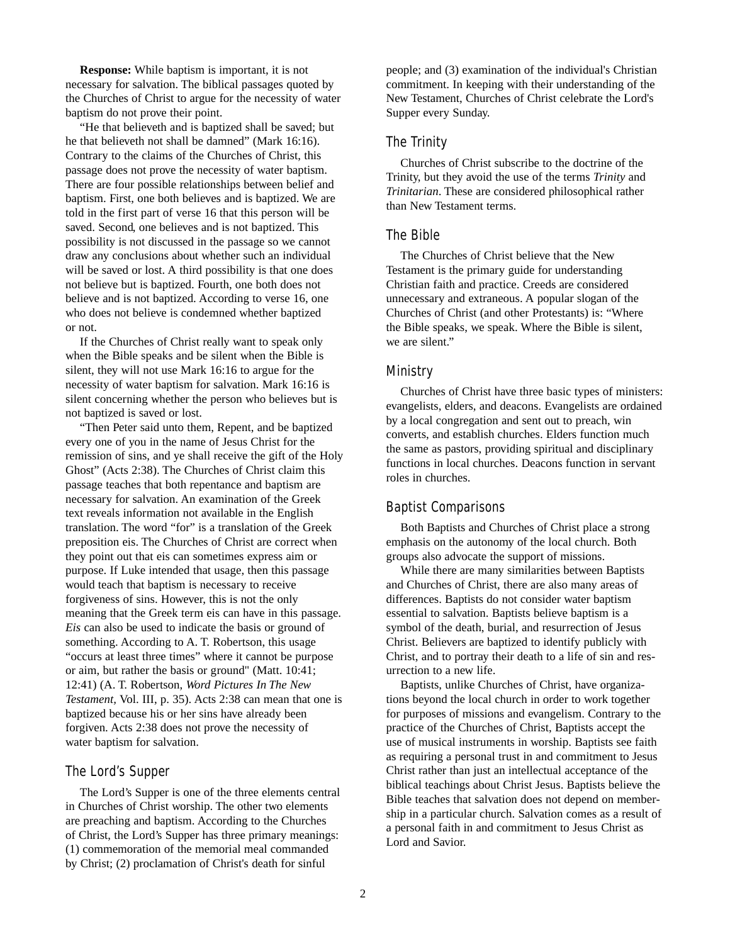**Response:** While baptism is important, it is not necessary for salvation. The biblical passages quoted by the Churches of Christ to argue for the necessity of water baptism do not prove their point.

"He that believeth and is baptized shall be saved; but he that believeth not shall be damned" (Mark 16:16). Contrary to the claims of the Churches of Christ, this passage does not prove the necessity of water baptism. There are four possible relationships between belief and baptism. First, one both believes and is baptized. We are told in the first part of verse 16 that this person will be saved. Second, one believes and is not baptized. This possibility is not discussed in the passage so we cannot draw any conclusions about whether such an individual will be saved or lost. A third possibility is that one does not believe but is baptized. Fourth, one both does not believe and is not baptized. According to verse 16, one who does not believe is condemned whether baptized or not.

If the Churches of Christ really want to speak only when the Bible speaks and be silent when the Bible is silent, they will not use Mark 16:16 to argue for the necessity of water baptism for salvation. Mark 16:16 is silent concerning whether the person who believes but is not baptized is saved or lost.

"Then Peter said unto them, Repent, and be baptized every one of you in the name of Jesus Christ for the remission of sins, and ye shall receive the gift of the Holy Ghost" (Acts 2:38). The Churches of Christ claim this passage teaches that both repentance and baptism are necessary for salvation. An examination of the Greek text reveals information not available in the English translation. The word "for" is a translation of the Greek preposition eis. The Churches of Christ are correct when they point out that eis can sometimes express aim or purpose. If Luke intended that usage, then this passage would teach that baptism is necessary to receive forgiveness of sins. However, this is not the only meaning that the Greek term eis can have in this passage. *Eis* can also be used to indicate the basis or ground of something. According to A. T. Robertson, this usage "occurs at least three times" where it cannot be purpose or aim, but rather the basis or ground" (Matt. 10:41; 12:41) (A. T. Robertson, *Word Pictures In The New Testament,* Vol. III, p. 35). Acts 2:38 can mean that one is baptized because his or her sins have already been forgiven. Acts 2:38 does not prove the necessity of water baptism for salvation.

#### The Lord's Supper

The Lord's Supper is one of the three elements central in Churches of Christ worship. The other two elements are preaching and baptism. According to the Churches of Christ, the Lord's Supper has three primary meanings: (1) commemoration of the memorial meal commanded by Christ; (2) proclamation of Christ's death for sinful

people; and (3) examination of the individual's Christian commitment. In keeping with their understanding of the New Testament, Churches of Christ celebrate the Lord's Supper every Sunday.

#### The Trinity

Churches of Christ subscribe to the doctrine of the Trinity, but they avoid the use of the terms *Trinity* and *Trinitarian*. These are considered philosophical rather than New Testament terms.

#### The Bible

The Churches of Christ believe that the New Testament is the primary guide for understanding Christian faith and practice. Creeds are considered unnecessary and extraneous. A popular slogan of the Churches of Christ (and other Protestants) is: "Where the Bible speaks, we speak. Where the Bible is silent, we are silent."

#### Ministry

Churches of Christ have three basic types of ministers: evangelists, elders, and deacons. Evangelists are ordained by a local congregation and sent out to preach, win converts, and establish churches. Elders function much the same as pastors, providing spiritual and disciplinary functions in local churches. Deacons function in servant roles in churches.

#### Baptist Comparisons

Both Baptists and Churches of Christ place a strong emphasis on the autonomy of the local church. Both groups also advocate the support of missions.

While there are many similarities between Baptists and Churches of Christ, there are also many areas of differences. Baptists do not consider water baptism essential to salvation. Baptists believe baptism is a symbol of the death, burial, and resurrection of Jesus Christ. Believers are baptized to identify publicly with Christ, and to portray their death to a life of sin and resurrection to a new life.

Baptists, unlike Churches of Christ, have organizations beyond the local church in order to work together for purposes of missions and evangelism. Contrary to the practice of the Churches of Christ, Baptists accept the use of musical instruments in worship. Baptists see faith as requiring a personal trust in and commitment to Jesus Christ rather than just an intellectual acceptance of the biblical teachings about Christ Jesus. Baptists believe the Bible teaches that salvation does not depend on membership in a particular church. Salvation comes as a result of a personal faith in and commitment to Jesus Christ as Lord and Savior.